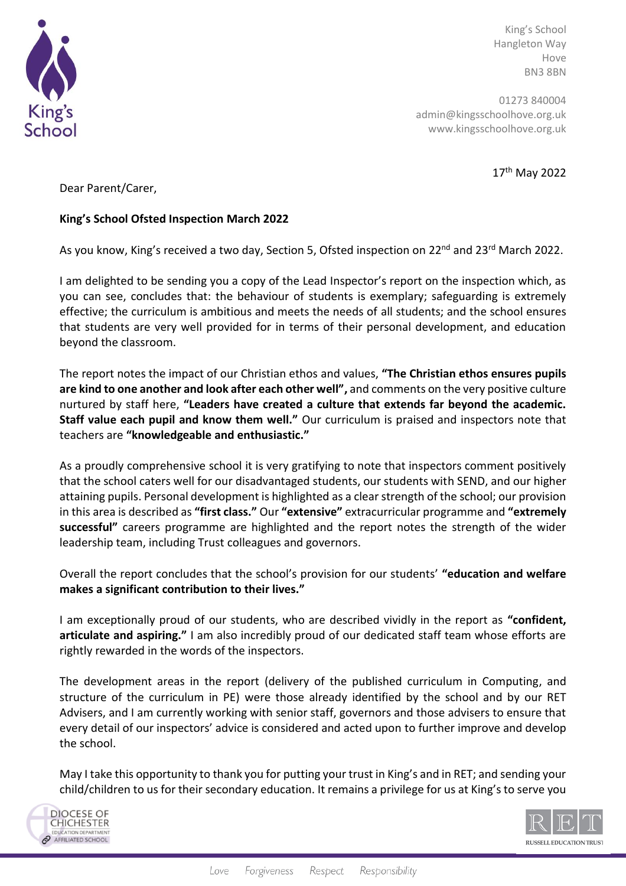

King's School Hangleton Way Hove BN3 8BN

01273 840004 admin@kingsschoolhove.org.uk www.kingsschoolhove.org.uk

17th May 2022

Dear Parent/Carer,

## **King's School Ofsted Inspection March 2022**

As you know, King's received a two day, Section 5, Ofsted inspection on 22<sup>nd</sup> and 23<sup>rd</sup> March 2022.

I am delighted to be sending you a copy of the Lead Inspector's report on the inspection which, as you can see, concludes that: the behaviour of students is exemplary; safeguarding is extremely effective; the curriculum is ambitious and meets the needs of all students; and the school ensures that students are very well provided for in terms of their personal development, and education beyond the classroom.

The report notes the impact of our Christian ethos and values, **"The Christian ethos ensures pupils are kind to one another and look after each other well",** and comments on the very positive culture nurtured by staff here, **"Leaders have created a culture that extends far beyond the academic. Staff value each pupil and know them well."** Our curriculum is praised and inspectors note that teachers are **"knowledgeable and enthusiastic."** 

As a proudly comprehensive school it is very gratifying to note that inspectors comment positively that the school caters well for our disadvantaged students, our students with SEND, and our higher attaining pupils. Personal development is highlighted as a clear strength of the school; our provision in this area is described as **"first class."** Our **"extensive"** extracurricular programme and **"extremely successful"** careers programme are highlighted and the report notes the strength of the wider leadership team, including Trust colleagues and governors.

Overall the report concludes that the school's provision for our students' **"education and welfare makes a significant contribution to their lives."**

I am exceptionally proud of our students, who are described vividly in the report as **"confident, articulate and aspiring."** I am also incredibly proud of our dedicated staff team whose efforts are rightly rewarded in the words of the inspectors.

The development areas in the report (delivery of the published curriculum in Computing, and structure of the curriculum in PE) were those already identified by the school and by our RET Advisers, and I am currently working with senior staff, governors and those advisers to ensure that every detail of our inspectors' advice is considered and acted upon to further improve and develop the school.

May I take this opportunity to thank you for putting your trust in King's and in RET; and sending your child/children to us for their secondary education. It remains a privilege for us at King's to serve you